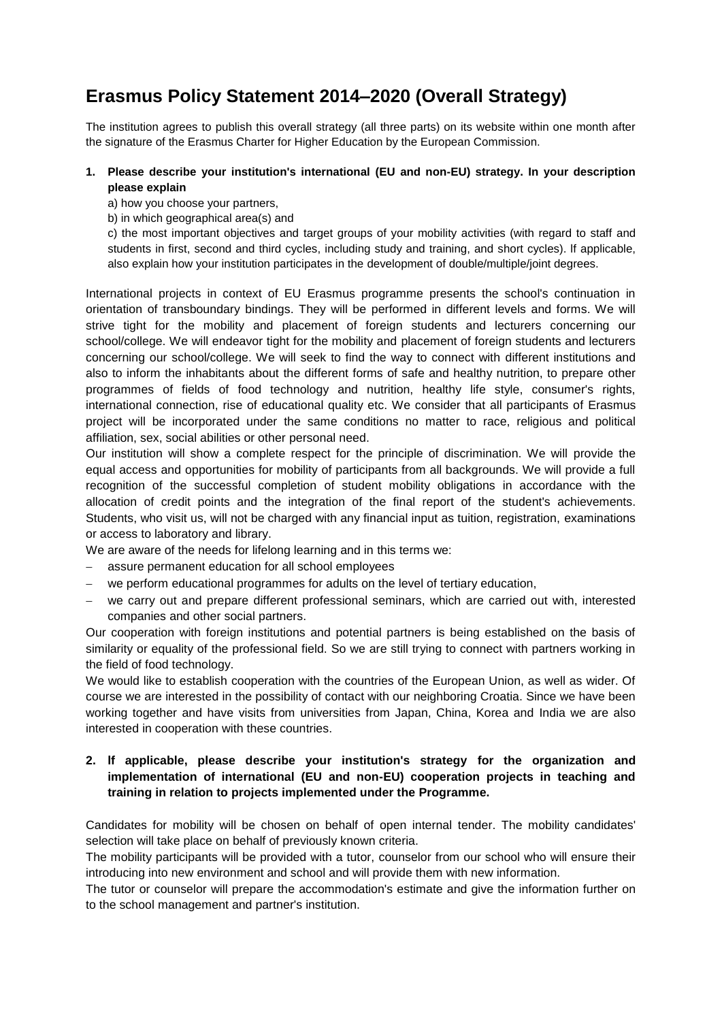## **Erasmus Policy Statement 2014–2020 (Overall Strategy)**

The institution agrees to publish this overall strategy (all three parts) on its website within one month after the signature of the Erasmus Charter for Higher Education by the European Commission.

## **1. Please describe your institution's international (EU and non-EU) strategy. In your description please explain**

- a) how you choose your partners,
- b) in which geographical area(s) and

c) the most important objectives and target groups of your mobility activities (with regard to staff and students in first, second and third cycles, including study and training, and short cycles). lf applicable, also explain how your institution participates in the development of double/multiple/joint degrees.

International projects in context of EU Erasmus programme presents the school's continuation in orientation of transboundary bindings. They will be performed in different levels and forms. We will strive tight for the mobility and placement of foreign students and lecturers concerning our school/college. We will endeavor tight for the mobility and placement of foreign students and lecturers concerning our school/college. We will seek to find the way to connect with different institutions and also to inform the inhabitants about the different forms of safe and healthy nutrition, to prepare other programmes of fields of food technology and nutrition, healthy life style, consumer's rights, international connection, rise of educational quality etc. We consider that all participants of Erasmus project will be incorporated under the same conditions no matter to race, religious and political affiliation, sex, social abilities or other personal need.

Our institution will show a complete respect for the principle of discrimination. We will provide the equal access and opportunities for mobility of participants from all backgrounds. We will provide a full recognition of the successful completion of student mobility obligations in accordance with the allocation of credit points and the integration of the final report of the student's achievements. Students, who visit us, will not be charged with any financial input as tuition, registration, examinations or access to laboratory and library.

We are aware of the needs for lifelong learning and in this terms we:

- assure permanent education for all school employees
- we perform educational programmes for adults on the level of tertiary education,
- we carry out and prepare different professional seminars, which are carried out with, interested companies and other social partners.

Our cooperation with foreign institutions and potential partners is being established on the basis of similarity or equality of the professional field. So we are still trying to connect with partners working in the field of food technology.

We would like to establish cooperation with the countries of the European Union, as well as wider. Of course we are interested in the possibility of contact with our neighboring Croatia. Since we have been working together and have visits from universities from Japan, China, Korea and India we are also interested in cooperation with these countries.

## **2. lf applicable, please describe your institution's strategy for the organization and implementation of international (EU and non-EU) cooperation projects in teaching and training in relation to projects implemented under the Programme.**

Candidates for mobility will be chosen on behalf of open internal tender. The mobility candidates' selection will take place on behalf of previously known criteria.

The mobility participants will be provided with a tutor, counselor from our school who will ensure their introducing into new environment and school and will provide them with new information.

The tutor or counselor will prepare the accommodation's estimate and give the information further on to the school management and partner's institution.